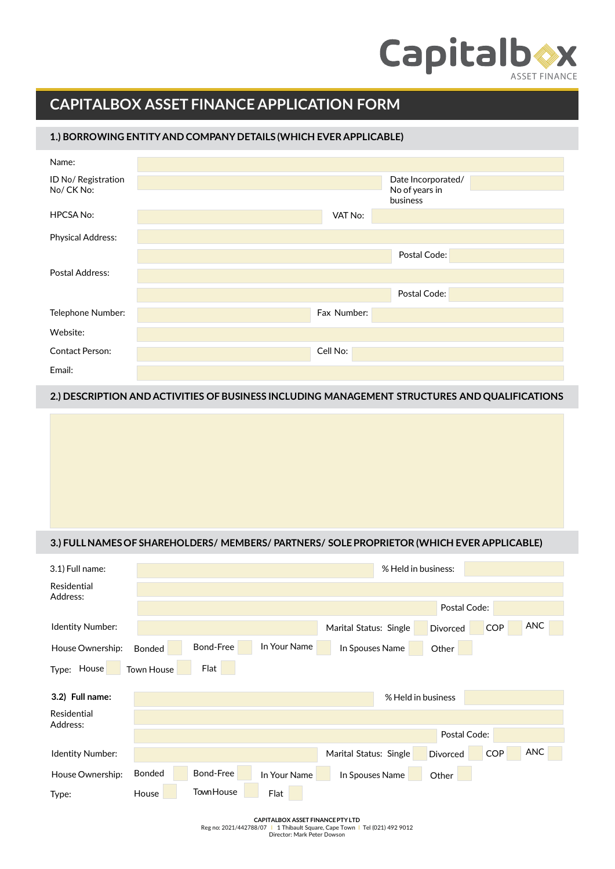## **Capitalb®x**

## **CAPITALBOX ASSET FINANCE APPLICATION FORM**

## **1.) BORROWING ENTITYAND COMPANY DETAILS (WHICH EVER APPLICABLE)**

| Name:                            |                                      |
|----------------------------------|--------------------------------------|
| ID No/ Registration<br>No/CK No: | Date Incorporated/<br>No of years in |
|                                  | business                             |
| <b>HPCSA No:</b>                 | VAT No:                              |
| <b>Physical Address:</b>         |                                      |
|                                  | Postal Code:                         |
| Postal Address:                  |                                      |
|                                  | Postal Code:                         |
| Telephone Number:                | Fax Number:                          |
| Website:                         |                                      |
| <b>Contact Person:</b>           | Cell No:                             |
| Email:                           |                                      |

## **2.) DESCRIPTION AND ACTIVITIES OF BUSINESS INCLUDING MANAGEMENT STRUCTURES AND QUALIFICATIONS**

## **3.) FULLNAMES OF SHAREHOLDERS/ MEMBERS/ PARTNERS/ SOLEPROPRIETOR (WHICH EVER APPLICABLE)**

| 3.1) Full name:         |                   |                   |              |                        | % Held in business: |              |            |            |
|-------------------------|-------------------|-------------------|--------------|------------------------|---------------------|--------------|------------|------------|
| Residential<br>Address: |                   |                   |              |                        |                     |              |            |            |
|                         |                   |                   |              |                        | Postal Code:        |              |            |            |
| Identity Number:        |                   |                   |              | Marital Status: Single |                     | Divorced     | <b>COP</b> | <b>ANC</b> |
| House Ownership:        | <b>Bonded</b>     | Bond-Free         | In Your Name | In Spouses Name        |                     | Other        |            |            |
| Type: House             | <b>Town House</b> | Flat              |              |                        |                     |              |            |            |
| 3.2) Full name:         |                   |                   |              |                        | % Held in business  |              |            |            |
| Residential<br>Address: |                   |                   |              |                        |                     |              |            |            |
|                         |                   |                   |              |                        |                     | Postal Code: |            |            |
| Identity Number:        |                   |                   |              | Marital Status: Single |                     | Divorced     | <b>COP</b> | <b>ANC</b> |
| House Ownership:        | <b>Bonded</b>     | Bond-Free         | In Your Name | In Spouses Name        |                     | Other        |            |            |
| Type:                   | House             | <b>Town House</b> | Flat         |                        |                     |              |            |            |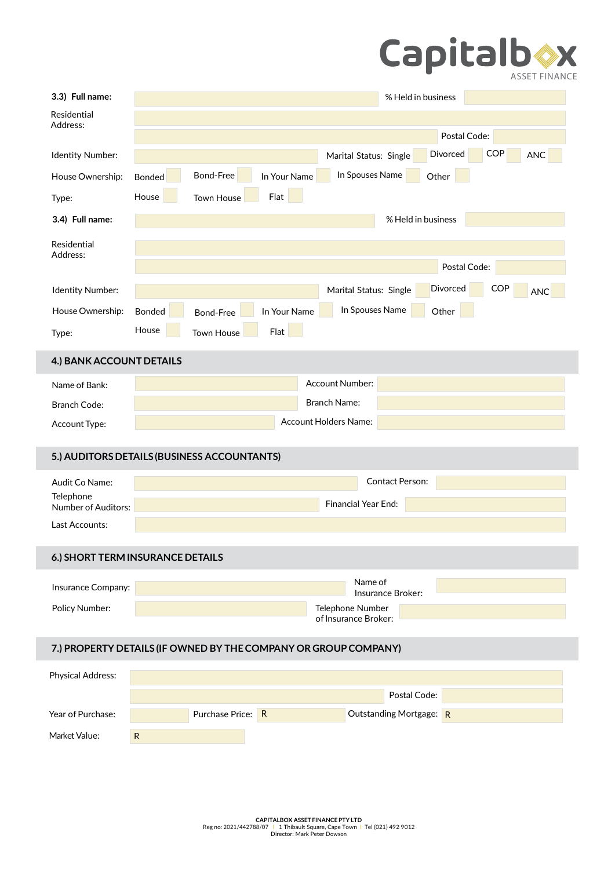# Capitalb<sup>N</sup>

| 3.3) Full name:                                                 |                                       |                   |              |                        | % Held in business      |              |            |            |
|-----------------------------------------------------------------|---------------------------------------|-------------------|--------------|------------------------|-------------------------|--------------|------------|------------|
| Residential<br>Address:                                         |                                       |                   |              |                        |                         |              |            |            |
|                                                                 |                                       |                   |              |                        |                         | Postal Code: |            |            |
| Identity Number:                                                |                                       |                   |              | Marital Status: Single |                         | Divorced     | <b>COP</b> | <b>ANC</b> |
| House Ownership:                                                | Bonded                                | Bond-Free         | In Your Name | In Spouses Name        |                         | Other        |            |            |
| Type:                                                           | House                                 | <b>Town House</b> | Flat         |                        |                         |              |            |            |
| 3.4) Full name:                                                 |                                       |                   |              |                        | % Held in business      |              |            |            |
| Residential                                                     |                                       |                   |              |                        |                         |              |            |            |
| Address:                                                        |                                       |                   |              |                        |                         | Postal Code: |            |            |
| Identity Number:                                                |                                       |                   |              | Marital Status: Single |                         | Divorced     | <b>COP</b> | <b>ANC</b> |
| House Ownership:                                                | <b>Bonded</b>                         | <b>Bond-Free</b>  | In Your Name |                        | In Spouses Name         | Other        |            |            |
| Type:                                                           | House                                 | <b>Town House</b> | Flat         |                        |                         |              |            |            |
|                                                                 |                                       |                   |              |                        |                         |              |            |            |
| 4.) BANK ACCOUNT DETAILS                                        |                                       |                   |              |                        |                         |              |            |            |
| Name of Bank:                                                   |                                       |                   |              | Account Number:        |                         |              |            |            |
| <b>Branch Code:</b>                                             |                                       |                   |              | <b>Branch Name:</b>    |                         |              |            |            |
| Account Type:                                                   |                                       |                   |              | Account Holders Name:  |                         |              |            |            |
| 5.) AUDITORS DETAILS (BUSINESS ACCOUNTANTS)                     |                                       |                   |              |                        |                         |              |            |            |
| Audit Co Name:                                                  |                                       |                   |              |                        | <b>Contact Person:</b>  |              |            |            |
| Telephone<br>Number of Auditors:                                |                                       |                   |              | Financial Year End:    |                         |              |            |            |
| Last Accounts:                                                  |                                       |                   |              |                        |                         |              |            |            |
|                                                                 |                                       |                   |              |                        |                         |              |            |            |
| 6.) SHORT TERM INSURANCE DETAILS                                |                                       |                   |              |                        |                         |              |            |            |
| Insurance Company:                                              |                                       |                   |              |                        | Name of                 |              |            |            |
| Policy Number:                                                  | Insurance Broker:<br>Telephone Number |                   |              |                        |                         |              |            |            |
|                                                                 |                                       |                   |              | of Insurance Broker:   |                         |              |            |            |
| 7.) PROPERTY DETAILS (IF OWNED BY THE COMPANY OR GROUP COMPANY) |                                       |                   |              |                        |                         |              |            |            |
| <b>Physical Address:</b>                                        |                                       |                   |              |                        |                         |              |            |            |
|                                                                 |                                       |                   |              |                        | Postal Code:            |              |            |            |
| Year of Purchase:                                               |                                       | Purchase Price: R |              |                        | Outstanding Mortgage: R |              |            |            |

Market Value: R